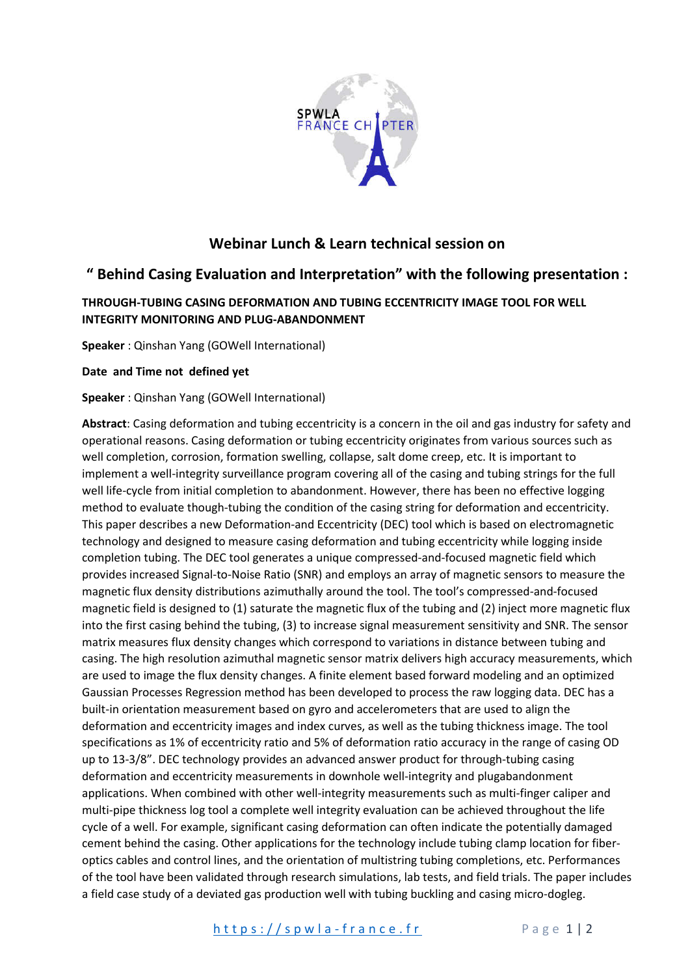

# **Webinar Lunch & Learn technical session on**

## **" Behind Casing Evaluation and Interpretation" with the following presentation :**

## **THROUGH-TUBING CASING DEFORMATION AND TUBING ECCENTRICITY IMAGE TOOL FOR WELL INTEGRITY MONITORING AND PLUG-ABANDONMENT**

**Speaker** : Qinshan Yang (GOWell International)

**Date and Time not defined yet** 

### **Speaker** : Qinshan Yang (GOWell International)

**Abstract**: Casing deformation and tubing eccentricity is a concern in the oil and gas industry for safety and operational reasons. Casing deformation or tubing eccentricity originates from various sources such as well completion, corrosion, formation swelling, collapse, salt dome creep, etc. It is important to implement a well-integrity surveillance program covering all of the casing and tubing strings for the full well life-cycle from initial completion to abandonment. However, there has been no effective logging method to evaluate though-tubing the condition of the casing string for deformation and eccentricity. This paper describes a new Deformation-and Eccentricity (DEC) tool which is based on electromagnetic technology and designed to measure casing deformation and tubing eccentricity while logging inside completion tubing. The DEC tool generates a unique compressed-and-focused magnetic field which provides increased Signal-to-Noise Ratio (SNR) and employs an array of magnetic sensors to measure the magnetic flux density distributions azimuthally around the tool. The tool's compressed-and-focused magnetic field is designed to (1) saturate the magnetic flux of the tubing and (2) inject more magnetic flux into the first casing behind the tubing, (3) to increase signal measurement sensitivity and SNR. The sensor matrix measures flux density changes which correspond to variations in distance between tubing and casing. The high resolution azimuthal magnetic sensor matrix delivers high accuracy measurements, which are used to image the flux density changes. A finite element based forward modeling and an optimized Gaussian Processes Regression method has been developed to process the raw logging data. DEC has a built-in orientation measurement based on gyro and accelerometers that are used to align the deformation and eccentricity images and index curves, as well as the tubing thickness image. The tool specifications as 1% of eccentricity ratio and 5% of deformation ratio accuracy in the range of casing OD up to 13-3/8". DEC technology provides an advanced answer product for through-tubing casing deformation and eccentricity measurements in downhole well-integrity and plugabandonment applications. When combined with other well-integrity measurements such as multi-finger caliper and multi-pipe thickness log tool a complete well integrity evaluation can be achieved throughout the life cycle of a well. For example, significant casing deformation can often indicate the potentially damaged cement behind the casing. Other applications for the technology include tubing clamp location for fiberoptics cables and control lines, and the orientation of multistring tubing completions, etc. Performances of the tool have been validated through research simulations, lab tests, and field trials. The paper includes a field case study of a deviated gas production well with tubing buckling and casing micro-dogleg.